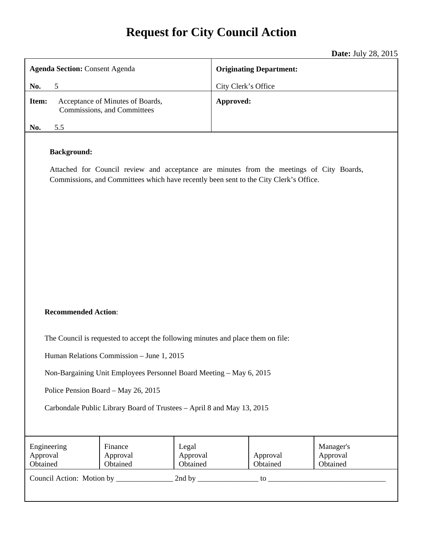# **Request for City Council Action**

**Date:** July 28, 2015

| <b>Agenda Section: Consent Agenda</b>                                                                                                                                                                   |     |                                                                 | <b>Originating Department:</b> |                     |                      |                                   |  |
|---------------------------------------------------------------------------------------------------------------------------------------------------------------------------------------------------------|-----|-----------------------------------------------------------------|--------------------------------|---------------------|----------------------|-----------------------------------|--|
| No.                                                                                                                                                                                                     | 5   |                                                                 |                                | City Clerk's Office |                      |                                   |  |
| Item:                                                                                                                                                                                                   |     | Acceptance of Minutes of Boards,<br>Commissions, and Committees |                                | Approved:           |                      |                                   |  |
| No.                                                                                                                                                                                                     | 5.5 |                                                                 |                                |                     |                      |                                   |  |
| <b>Background:</b><br>Attached for Council review and acceptance are minutes from the meetings of City Boards,<br>Commissions, and Committees which have recently been sent to the City Clerk's Office. |     |                                                                 |                                |                     |                      |                                   |  |
| <b>Recommended Action:</b>                                                                                                                                                                              |     |                                                                 |                                |                     |                      |                                   |  |
| The Council is requested to accept the following minutes and place them on file:                                                                                                                        |     |                                                                 |                                |                     |                      |                                   |  |
| Human Relations Commission - June 1, 2015                                                                                                                                                               |     |                                                                 |                                |                     |                      |                                   |  |
| Non-Bargaining Unit Employees Personnel Board Meeting - May 6, 2015                                                                                                                                     |     |                                                                 |                                |                     |                      |                                   |  |
| Police Pension Board - May 26, 2015                                                                                                                                                                     |     |                                                                 |                                |                     |                      |                                   |  |
| Carbondale Public Library Board of Trustees - April 8 and May 13, 2015                                                                                                                                  |     |                                                                 |                                |                     |                      |                                   |  |
| Engineering<br>Approval<br>Obtained                                                                                                                                                                     |     | Finance<br>Approval<br>Obtained                                 | Legal<br>Approval<br>Obtained  |                     | Approval<br>Obtained | Manager's<br>Approval<br>Obtained |  |
|                                                                                                                                                                                                         |     |                                                                 |                                |                     |                      |                                   |  |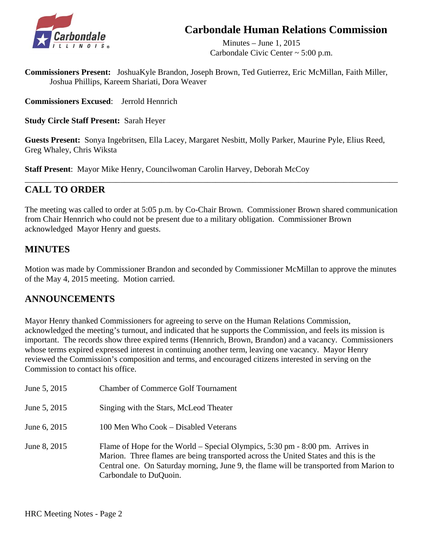## **Carbondale Human Relations Commission**



 Minutes – June 1, 2015 Carbondale Civic Center ~ 5:00 p.m.

**Commissioners Present:** JoshuaKyle Brandon, Joseph Brown, Ted Gutierrez, Eric McMillan, Faith Miller, Joshua Phillips, Kareem Shariati, Dora Weaver

**Commissioners Excused**: Jerrold Hennrich

**Study Circle Staff Present:** Sarah Heyer

**Guests Present:** Sonya Ingebritsen, Ella Lacey, Margaret Nesbitt, Molly Parker, Maurine Pyle, Elius Reed, Greg Whaley, Chris Wiksta

**Staff Present**: Mayor Mike Henry, Councilwoman Carolin Harvey, Deborah McCoy

## **CALL TO ORDER**

The meeting was called to order at 5:05 p.m. by Co-Chair Brown. Commissioner Brown shared communication from Chair Hennrich who could not be present due to a military obligation. Commissioner Brown acknowledged Mayor Henry and guests.

\_\_\_\_\_\_\_\_\_\_\_\_\_\_\_\_\_\_\_\_\_\_\_\_\_\_\_\_\_\_\_\_\_\_\_\_\_\_\_\_\_\_\_\_\_\_\_\_\_\_\_\_\_\_\_\_\_\_\_\_\_\_\_\_\_\_\_\_\_\_\_\_\_\_\_\_\_\_\_\_\_\_\_\_\_\_\_\_\_\_

## **MINUTES**

Motion was made by Commissioner Brandon and seconded by Commissioner McMillan to approve the minutes of the May 4, 2015 meeting. Motion carried.

## **ANNOUNCEMENTS**

Mayor Henry thanked Commissioners for agreeing to serve on the Human Relations Commission, acknowledged the meeting's turnout, and indicated that he supports the Commission, and feels its mission is important. The records show three expired terms (Hennrich, Brown, Brandon) and a vacancy. Commissioners whose terms expired expressed interest in continuing another term, leaving one vacancy. Mayor Henry reviewed the Commission's composition and terms, and encouraged citizens interested in serving on the Commission to contact his office.

| June 5, 2015 | <b>Chamber of Commerce Golf Tournament</b>                                                                                                                                                                                                                                                                  |
|--------------|-------------------------------------------------------------------------------------------------------------------------------------------------------------------------------------------------------------------------------------------------------------------------------------------------------------|
| June 5, 2015 | Singing with the Stars, McLeod Theater                                                                                                                                                                                                                                                                      |
| June 6, 2015 | 100 Men Who Cook – Disabled Veterans                                                                                                                                                                                                                                                                        |
| June 8, 2015 | Flame of Hope for the World – Special Olympics, $5:30 \text{ pm} - 8:00 \text{ pm}$ . Arrives in<br>Marion. Three flames are being transported across the United States and this is the<br>Central one. On Saturday morning, June 9, the flame will be transported from Marion to<br>Carbondale to DuQuoin. |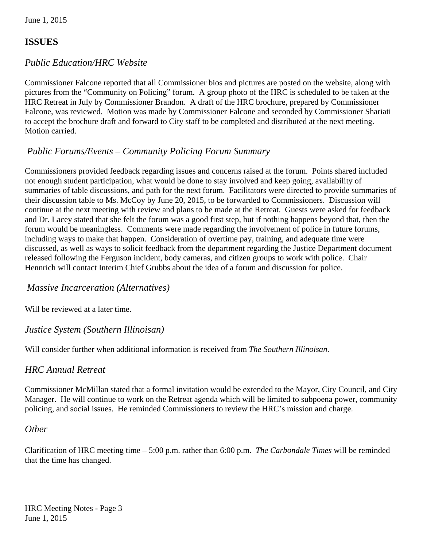## **ISSUES**

## *Public Education/HRC Website*

 Commissioner Falcone reported that all Commissioner bios and pictures are posted on the website, along with pictures from the "Community on Policing" forum. A group photo of the HRC is scheduled to be taken at the HRC Retreat in July by Commissioner Brandon. A draft of the HRC brochure, prepared by Commissioner Falcone, was reviewed. Motion was made by Commissioner Falcone and seconded by Commissioner Shariati to accept the brochure draft and forward to City staff to be completed and distributed at the next meeting. Motion carried.

## *Public Forums/Events – Community Policing Forum Summary*

 Commissioners provided feedback regarding issues and concerns raised at the forum. Points shared included not enough student participation, what would be done to stay involved and keep going, availability of summaries of table discussions, and path for the next forum. Facilitators were directed to provide summaries of their discussion table to Ms. McCoy by June 20, 2015, to be forwarded to Commissioners. Discussion will continue at the next meeting with review and plans to be made at the Retreat. Guests were asked for feedback and Dr. Lacey stated that she felt the forum was a good first step, but if nothing happens beyond that, then the forum would be meaningless. Comments were made regarding the involvement of police in future forums, including ways to make that happen. Consideration of overtime pay, training, and adequate time were discussed, as well as ways to solicit feedback from the department regarding the Justice Department document released following the Ferguson incident, body cameras, and citizen groups to work with police. Chair Hennrich will contact Interim Chief Grubbs about the idea of a forum and discussion for police.

## *Massive Incarceration (Alternatives)*

Will be reviewed at a later time.

## *Justice System (Southern Illinoisan)*

Will consider further when additional information is received from *The Southern Illinoisan*.

## *HRC Annual Retreat*

 Commissioner McMillan stated that a formal invitation would be extended to the Mayor, City Council, and City Manager. He will continue to work on the Retreat agenda which will be limited to subpoena power, community policing, and social issues. He reminded Commissioners to review the HRC's mission and charge.

## *Other*

Clarification of HRC meeting time – 5:00 p.m. rather than 6:00 p.m. *The Carbondale Times* will be reminded that the time has changed.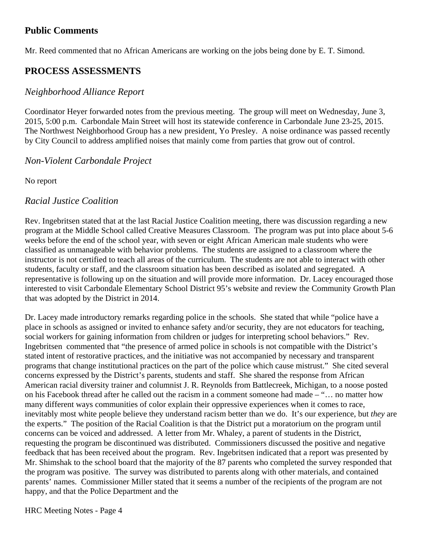## **Public Comments**

Mr. Reed commented that no African Americans are working on the jobs being done by E. T. Simond.

## **PROCESS ASSESSMENTS**

## *Neighborhood Alliance Report*

 Coordinator Heyer forwarded notes from the previous meeting. The group will meet on Wednesday, June 3, 2015, 5:00 p.m. Carbondale Main Street will host its statewide conference in Carbondale June 23-25, 2015. The Northwest Neighborhood Group has a new president, Yo Presley. A noise ordinance was passed recently by City Council to address amplified noises that mainly come from parties that grow out of control.

## *Non-Violent Carbondale Project*

No report

## *Racial Justice Coalition*

 Rev. Ingebritsen stated that at the last Racial Justice Coalition meeting, there was discussion regarding a new program at the Middle School called Creative Measures Classroom. The program was put into place about 5-6 weeks before the end of the school year, with seven or eight African American male students who were classified as unmanageable with behavior problems. The students are assigned to a classroom where the instructor is not certified to teach all areas of the curriculum. The students are not able to interact with other students, faculty or staff, and the classroom situation has been described as isolated and segregated. A representative is following up on the situation and will provide more information. Dr. Lacey encouraged those interested to visit Carbondale Elementary School District 95's website and review the Community Growth Plan that was adopted by the District in 2014.

 Dr. Lacey made introductory remarks regarding police in the schools. She stated that while "police have a place in schools as assigned or invited to enhance safety and/or security, they are not educators for teaching, social workers for gaining information from children or judges for interpreting school behaviors." Rev. Ingebritsen commented that "the presence of armed police in schools is not compatible with the District's stated intent of restorative practices, and the initiative was not accompanied by necessary and transparent programs that change institutional practices on the part of the police which cause mistrust." She cited several concerns expressed by the District's parents, students and staff. She shared the response from African American racial diversity trainer and columnist J. R. Reynolds from Battlecreek, Michigan, to a noose posted on his Facebook thread after he called out the racism in a comment someone had made – "… no matter how many different ways communities of color explain their oppressive experiences when it comes to race, inevitably most white people believe they understand racism better than we do. It's our experience, but *they* are the experts." The position of the Racial Coalition is that the District put a moratorium on the program until concerns can be voiced and addressed. A letter from Mr. Whaley, a parent of students in the District, requesting the program be discontinued was distributed. Commissioners discussed the positive and negative feedback that has been received about the program. Rev. Ingebritsen indicated that a report was presented by Mr. Shimshak to the school board that the majority of the 87 parents who completed the survey responded that the program was positive. The survey was distributed to parents along with other materials, and contained parents' names. Commissioner Miller stated that it seems a number of the recipients of the program are not happy, and that the Police Department and the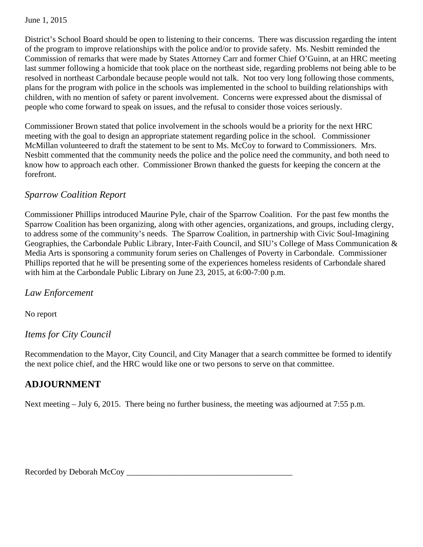June 1, 2015

 District's School Board should be open to listening to their concerns. There was discussion regarding the intent of the program to improve relationships with the police and/or to provide safety. Ms. Nesbitt reminded the Commission of remarks that were made by States Attorney Carr and former Chief O'Guinn, at an HRC meeting last summer following a homicide that took place on the northeast side, regarding problems not being able to be resolved in northeast Carbondale because people would not talk. Not too very long following those comments, plans for the program with police in the schools was implemented in the school to building relationships with children, with no mention of safety or parent involvement. Concerns were expressed about the dismissal of people who come forward to speak on issues, and the refusal to consider those voices seriously.

 Commissioner Brown stated that police involvement in the schools would be a priority for the next HRC meeting with the goal to design an appropriate statement regarding police in the school. Commissioner McMillan volunteered to draft the statement to be sent to Ms. McCoy to forward to Commissioners. Mrs. Nesbitt commented that the community needs the police and the police need the community, and both need to know how to approach each other. Commissioner Brown thanked the guests for keeping the concern at the forefront.

## *Sparrow Coalition Report*

 Commissioner Phillips introduced Maurine Pyle, chair of the Sparrow Coalition. For the past few months the Sparrow Coalition has been organizing, along with other agencies, organizations, and groups, including clergy, to address some of the community's needs. The Sparrow Coalition, in partnership with Civic Soul-Imagining Geographies, the Carbondale Public Library, Inter-Faith Council, and SIU's College of Mass Communication & Media Arts is sponsoring a community forum series on Challenges of Poverty in Carbondale. Commissioner Phillips reported that he will be presenting some of the experiences homeless residents of Carbondale shared with him at the Carbondale Public Library on June 23, 2015, at 6:00-7:00 p.m.

*Law Enforcement* 

No report

## *Items for City Council*

Recommendation to the Mayor, City Council, and City Manager that a search committee be formed to identify the next police chief, and the HRC would like one or two persons to serve on that committee.

## **ADJOURNMENT**

Next meeting – July 6, 2015. There being no further business, the meeting was adjourned at 7:55 p.m.

Recorded by Deborah McCoy \_\_\_\_\_\_\_\_\_\_\_\_\_\_\_\_\_\_\_\_\_\_\_\_\_\_\_\_\_\_\_\_\_\_\_\_\_\_\_\_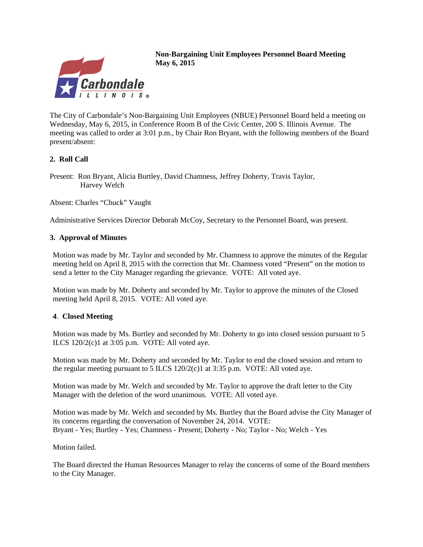

**Non-Bargaining Unit Employees Personnel Board Meeting May 6, 2015**

The City of Carbondale's Non-Bargaining Unit Employees (NBUE) Personnel Board held a meeting on Wednesday, May 6, 2015, in Conference Room B of the Civic Center, 200 S. Illinois Avenue. The meeting was called to order at 3:01 p.m., by Chair Ron Bryant, with the following members of the Board present/absent:

#### **2. Roll Call**

Present: Ron Bryant, Alicia Burtley, David Chamness, Jeffrey Doherty, Travis Taylor, Harvey Welch

Absent: Charles "Chuck" Vaught

Administrative Services Director Deborah McCoy, Secretary to the Personnel Board, was present.

#### **3. Approval of Minutes**

Motion was made by Mr. Taylor and seconded by Mr. Chamness to approve the minutes of the Regular meeting held on April 8, 2015 with the correction that Mr. Chamness voted "Present" on the motion to send a letter to the City Manager regarding the grievance. VOTE: All voted aye.

Motion was made by Mr. Doherty and seconded by Mr. Taylor to approve the minutes of the Closed meeting held April 8, 2015. VOTE: All voted aye.

#### **4**. **Closed Meeting**

Motion was made by Ms. Burtley and seconded by Mr. Doherty to go into closed session pursuant to 5 ILCS  $120/2(c)1$  at  $3:05$  p.m. VOTE: All voted aye.

Motion was made by Mr. Doherty and seconded by Mr. Taylor to end the closed session and return to the regular meeting pursuant to 5 ILCS  $120/2(c)1$  at 3:35 p.m. VOTE: All voted aye.

Motion was made by Mr. Welch and seconded by Mr. Taylor to approve the draft letter to the City Manager with the deletion of the word unanimous. VOTE: All voted aye.

Motion was made by Mr. Welch and seconded by Ms. Burtley that the Board advise the City Manager of its concerns regarding the conversation of November 24, 2014. VOTE: Bryant - Yes; Burtley - Yes; Chamness - Present; Doherty - No; Taylor - No; Welch - Yes

Motion failed.

The Board directed the Human Resources Manager to relay the concerns of some of the Board members to the City Manager.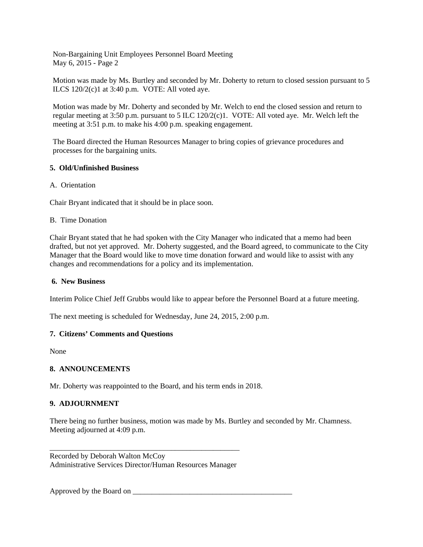Non-Bargaining Unit Employees Personnel Board Meeting May 6, 2015 - Page 2

Motion was made by Ms. Burtley and seconded by Mr. Doherty to return to closed session pursuant to 5 ILCS  $120/2(c)1$  at  $3:40$  p.m. VOTE: All voted aye.

Motion was made by Mr. Doherty and seconded by Mr. Welch to end the closed session and return to regular meeting at 3:50 p.m. pursuant to 5 ILC 120/2(c)1. VOTE: All voted aye. Mr. Welch left the meeting at 3:51 p.m. to make his 4:00 p.m. speaking engagement.

The Board directed the Human Resources Manager to bring copies of grievance procedures and processes for the bargaining units.

#### **5. Old/Unfinished Business**

A. Orientation

Chair Bryant indicated that it should be in place soon.

#### B. Time Donation

Chair Bryant stated that he had spoken with the City Manager who indicated that a memo had been drafted, but not yet approved. Mr. Doherty suggested, and the Board agreed, to communicate to the City Manager that the Board would like to move time donation forward and would like to assist with any changes and recommendations for a policy and its implementation.

#### **6. New Business**

Interim Police Chief Jeff Grubbs would like to appear before the Personnel Board at a future meeting.

The next meeting is scheduled for Wednesday, June 24, 2015, 2:00 p.m.

#### **7. Citizens' Comments and Questions**

None

#### **8. ANNOUNCEMENTS**

Mr. Doherty was reappointed to the Board, and his term ends in 2018.

#### **9. ADJOURNMENT**

There being no further business, motion was made by Ms. Burtley and seconded by Mr. Chamness. Meeting adjourned at 4:09 p.m.

\_\_\_\_\_\_\_\_\_\_\_\_\_\_\_\_\_\_\_\_\_\_\_\_\_\_\_\_\_\_\_\_\_\_\_\_\_\_\_\_\_\_\_\_\_\_\_\_\_\_ Recorded by Deborah Walton McCoy Administrative Services Director/Human Resources Manager

Approved by the Board on  $\blacksquare$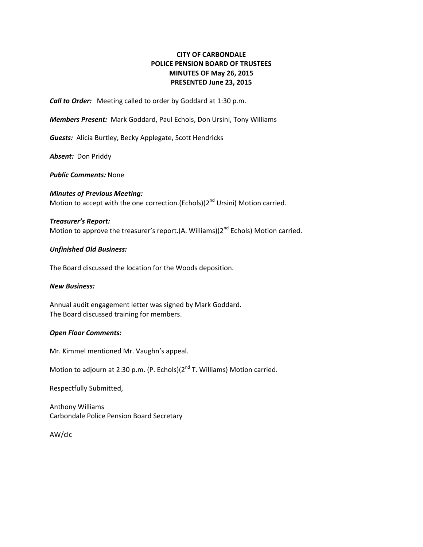#### **CITY OF CARBONDALE POLICE PENSION BOARD OF TRUSTEES MINUTES OF May 26, 2015 PRESENTED June 23, 2015**

*Call to Order:* Meeting called to order by Goddard at 1:30 p.m.

*Members Present:* Mark Goddard, Paul Echols, Don Ursini, Tony Williams

**Guests:** Alicia Burtley, Becky Applegate, Scott Hendricks

**Absent:** Don Priddy

*Public Comments:* None

*Minutes of Previous Meeting:* Motion to accept with the one correction. (Echols) $(2^{nd}$  Ursini) Motion carried.

#### *Treasurer's Report:*

Motion to approve the treasurer's report.(A. Williams)( $2^{nd}$  Echols) Motion carried.

#### *Unfinished Old Business:*

The Board discussed the location for the Woods deposition.

#### *New Business:*

Annual audit engagement letter was signed by Mark Goddard. The Board discussed training for members.

#### *Open Floor Comments:*

Mr. Kimmel mentioned Mr. Vaughn's appeal.

Motion to adjourn at 2:30 p.m. (P. Echols)(2<sup>nd</sup> T. Williams) Motion carried.

Respectfully Submitted,

Anthony Williams Carbondale Police Pension Board Secretary

AW/clc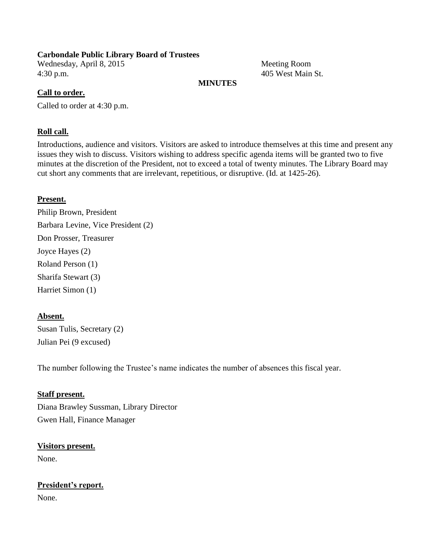#### **Carbondale Public Library Board of Trustees**

Wednesday, April 8, 2015 Meeting Room 4:30 p.m. 405 West Main St.

#### **MINUTES**

#### **Call to order.**

Called to order at 4:30 p.m.

#### **Roll call.**

Introductions, audience and visitors. Visitors are asked to introduce themselves at this time and present any issues they wish to discuss. Visitors wishing to address specific agenda items will be granted two to five minutes at the discretion of the President, not to exceed a total of twenty minutes. The Library Board may cut short any comments that are irrelevant, repetitious, or disruptive. (Id. at 1425-26).

### **Present.**

Philip Brown, President Barbara Levine, Vice President (2) Don Prosser, Treasurer Joyce Hayes (2) Roland Person (1) Sharifa Stewart (3) Harriet Simon (1)

### **Absent.**

Susan Tulis, Secretary (2) Julian Pei (9 excused)

The number following the Trustee's name indicates the number of absences this fiscal year.

### **Staff present.**

Diana Brawley Sussman, Library Director Gwen Hall, Finance Manager

### **Visitors present.**

None.

## **President's report.**

None.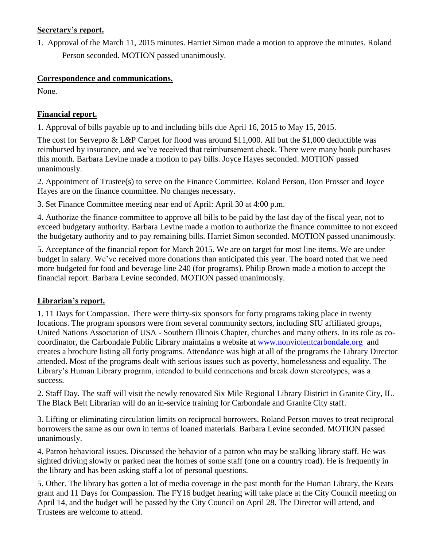### **Secretary's report.**

1. Approval of the March 11, 2015 minutes. Harriet Simon made a motion to approve the minutes. Roland Person seconded. MOTION passed unanimously.

### **Correspondence and communications.**

None.

## **Financial report.**

1. Approval of bills payable up to and including bills due April 16, 2015 to May 15, 2015.

The cost for Servepro & L&P Carpet for flood was around \$11,000. All but the \$1,000 deductible was reimbursed by insurance, and we've received that reimbursement check. There were many book purchases this month. Barbara Levine made a motion to pay bills. Joyce Hayes seconded. MOTION passed unanimously.

2. Appointment of Trustee(s) to serve on the Finance Committee. Roland Person, Don Prosser and Joyce Hayes are on the finance committee. No changes necessary.

3. Set Finance Committee meeting near end of April: April 30 at 4:00 p.m.

4. Authorize the finance committee to approve all bills to be paid by the last day of the fiscal year, not to exceed budgetary authority. Barbara Levine made a motion to authorize the finance committee to not exceed the budgetary authority and to pay remaining bills. Harriet Simon seconded. MOTION passed unanimously.

5. Acceptance of the financial report for March 2015. We are on target for most line items. We are under budget in salary. We've received more donations than anticipated this year. The board noted that we need more budgeted for food and beverage line 240 (for programs). Philip Brown made a motion to accept the financial report. Barbara Levine seconded. MOTION passed unanimously.

## **Librarian's report.**

1. 11 Days for Compassion. There were thirty-six sponsors for forty programs taking place in twenty locations. The program sponsors were from several community sectors, including SIU affiliated groups, United Nations Association of USA - Southern Illinois Chapter, churches and many others. In its role as cocoordinator, the Carbondale Public Library maintains a website at [www.nonviolentcarbondale.org](http://www.nonviolentcarbondale.org/) and creates a brochure listing all forty programs. Attendance was high at all of the programs the Library Director attended. Most of the programs dealt with serious issues such as poverty, homelessness and equality. The Library's Human Library program, intended to build connections and break down stereotypes, was a success.

2. Staff Day. The staff will visit the newly renovated Six Mile Regional Library District in Granite City, IL. The Black Belt Librarian will do an in-service training for Carbondale and Granite City staff.

3. Lifting or eliminating circulation limits on reciprocal borrowers. Roland Person moves to treat reciprocal borrowers the same as our own in terms of loaned materials. Barbara Levine seconded. MOTION passed unanimously.

4. Patron behavioral issues. Discussed the behavior of a patron who may be stalking library staff. He was sighted driving slowly or parked near the homes of some staff (one on a country road). He is frequently in the library and has been asking staff a lot of personal questions.

5. Other. The library has gotten a lot of media coverage in the past month for the Human Library, the Keats grant and 11 Days for Compassion. The FY16 budget hearing will take place at the City Council meeting on April 14, and the budget will be passed by the City Council on April 28. The Director will attend, and Trustees are welcome to attend.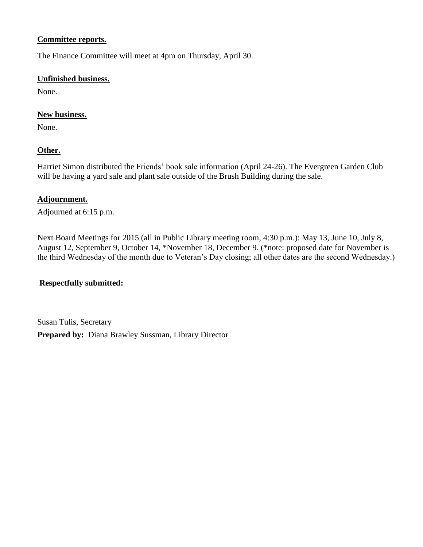#### **Committee reports.**

The Finance Committee will meet at 4pm on Thursday, April 30.

### **Unfinished business.**

None.

### **New business.**

None.

### **Other.**

Harriet Simon distributed the Friends' book sale information (April 24-26). The Evergreen Garden Club will be having a yard sale and plant sale outside of the Brush Building during the sale.

#### **Adjournment.**

Adjourned at 6:15 p.m.

Next Board Meetings for 2015 (all in Public Library meeting room, 4:30 p.m.): May 13, June 10, July 8, August 12, September 9, October 14, \*November 18, December 9. (\*note: proposed date for November is the third Wednesday of the month due to Veteran's Day closing; all other dates are the second Wednesday.)

### **Respectfully submitted:**

Susan Tulis, Secretary **Prepared by:** Diana Brawley Sussman, Library Director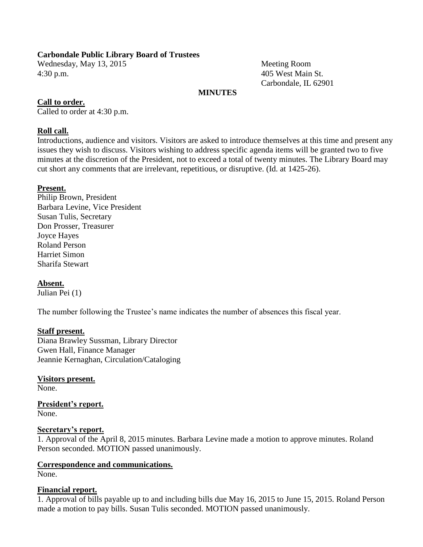#### **Carbondale Public Library Board of Trustees**

Wednesday, May 13, 2015 Meeting Room 4:30 p.m. 405 West Main St.

Carbondale, IL 62901

#### **MINUTES**

#### **Call to order.**

Called to order at 4:30 p.m.

#### **Roll call.**

Introductions, audience and visitors. Visitors are asked to introduce themselves at this time and present any issues they wish to discuss. Visitors wishing to address specific agenda items will be granted two to five minutes at the discretion of the President, not to exceed a total of twenty minutes. The Library Board may cut short any comments that are irrelevant, repetitious, or disruptive. (Id. at 1425-26).

#### **Present.**

Philip Brown, President Barbara Levine, Vice President Susan Tulis, Secretary Don Prosser, Treasurer Joyce Hayes Roland Person Harriet Simon Sharifa Stewart

### **Absent.**

Julian Pei (1)

The number following the Trustee's name indicates the number of absences this fiscal year.

#### **Staff present.**

Diana Brawley Sussman, Library Director Gwen Hall, Finance Manager Jeannie Kernaghan, Circulation/Cataloging

### **Visitors present.**

None.

#### **President's report.** None.

#### **Secretary's report.**

1. Approval of the April 8, 2015 minutes. Barbara Levine made a motion to approve minutes. Roland Person seconded. MOTION passed unanimously.

## **Correspondence and communications.**

None.

#### **Financial report.**

1. Approval of bills payable up to and including bills due May 16, 2015 to June 15, 2015. Roland Person made a motion to pay bills. Susan Tulis seconded. MOTION passed unanimously.